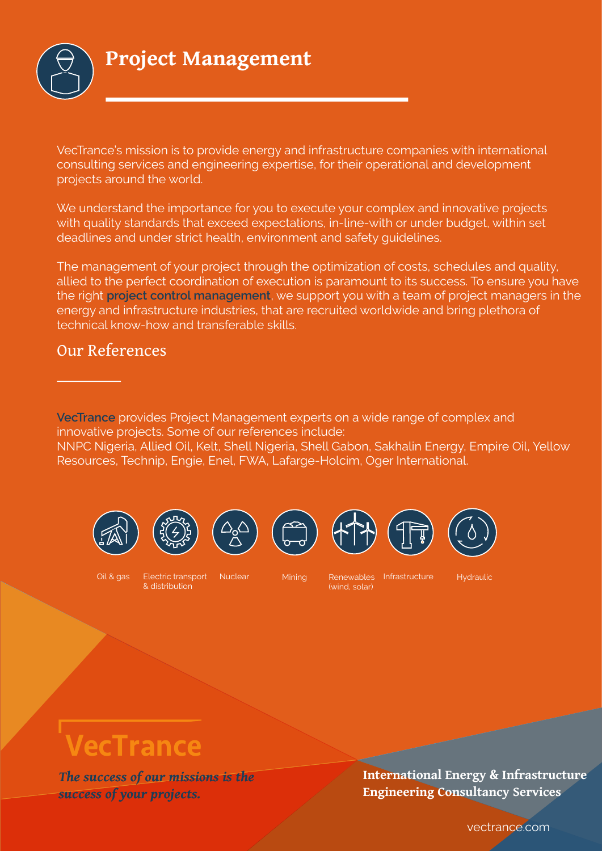

**Project Management** 

VecTrance's mission is to provide energy and infrastructure companies with international consulting services and engineering expertise, for their operational and development projects around the world.

We understand the importance for you to execute your complex and innovative projects with quality standards that exceed expectations, in-line-with or under budget, within set deadlines and under strict health, environment and safety quidelines.

The management of your project through the optimization of costs, schedules and quality, allied to the perfect coordination of execution is paramount to its success. To ensure you have the right project control management, we support you with a team of project managers in the energy and infrastructure industries, that are recruited worldwide and bring plethora of technical know-how and transferable skills.

### **Our References**

VecTrance provides Project Management experts on a wide range of complex and innovative projects. Some of our references include: NNPC Nigeria, Allied Oil, Kelt, Shell Nigeria, Shell Gabon, Sakhalin Energy, Empire Oil, Yellow Resources, Technip, Engie, Enel, FWA, Lafarge-Holcim, Oger International.







Flectric transport Nuclear & distribution

**Mining** 

Renewables Infrastructure (wind, solar)

Hydraulic

# VecTrance

The success of our missions is the success of your projects.

International Energy & Infrastructure **Engineering Consultancy Services** 

vectrance.com